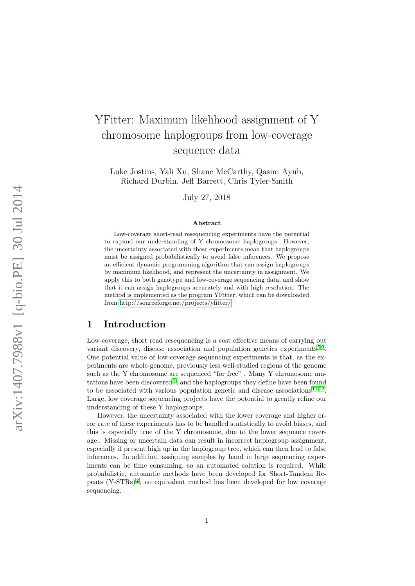# YFitter: Maximum likelihood assignment of Y chromosome haplogroups from low-coverage sequence data

Luke Jostins, Yali Xu, Shane McCarthy, Qasim Ayub, Richard Durbin, Jeff Barrett, Chris Tyler-Smith

July 27, 2018

#### Abstract

Low-coverage short-read resequencing experiments have the potential to expand our understanding of Y chromosome haplogroups. However, the uncertainty associated with these experiments mean that haplogroups must be assigned probabilistically to avoid false inferences. We propose an efficient dynamic programming algorithm that can assign haplogroups by maximum likelihood, and represent the uncertainty in assignment. We apply this to both genotype and low-coverage sequencing data, and show that it can assign haplogroups accurately and with high resolution. The method is implemented as the program YFitter, which can be downloaded from<http://sourceforge.net/projects/yfitter/>

## 1 Introduction

Low-coverage, short read resequencing is a cost effective means of carrying out variant discovery, disease association and population genetics experiments<sup>[5](#page-4-0)9</sup>. One potential value of low-coverage sequencing experiments is that, as the experiments are whole-genome, previously less well-studied regions of the genome such as the Y chromosome are sequenced "for free". Many Y chromosome mu-tations have been discovered<sup>[7](#page-5-1)</sup>, and the haplogroups they define have been found to be associated with various population genetic and disease associations  $^{11}$  $^{11}$  $^{11}$  [12](#page-5-3). Large, low coverage sequencing projects have the potential to greatly refine our understanding of these Y haplogroups.

However, the uncertainty associated with the lower coverage and higher error rate of these experiments has to be handled statistically to avoid biases, and this is especially true of the Y chromosome, due to the lower sequence coverage.. Missing or uncertain data can result in incorrect haplogroup assignment, especially if present high up in the haplogroup tree, which can then lead to false inferences. In addition, assigning samples by hand in large sequencing experiments can be time consuming, so an automated solution is required. While probabilistic, automatic methods have been developed for Short-Tandem Repeats (Y-STRs) [2](#page-4-1) , no equivalent method has been developed for low coverage sequencing.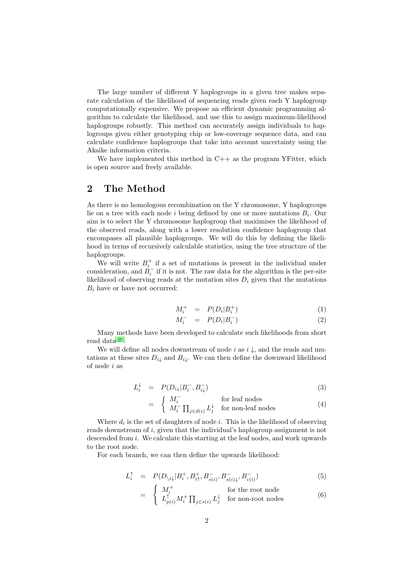The large number of different Y haplogroups in a given tree makes separate calculation of the likelihood of sequencing reads given each Y haplogroup computationally expensive. We propose an efficient dynamic programming algorithm to calculate the likelihood, and use this to assign maximum-likelihood haplogroups robustly. This method can accurately assign individuals to haplogroups given either genotyping chip or low-coverage sequence data, and can calculate confidence haplogroups that take into account uncertainty using the Akaike information criteria.

We have implemented this method in C++ as the program YFitter, which is open source and freely available.

# 2 The Method

As there is no homologous recombination on the Y chromosome, Y haplogroups lie on a tree with each node i being defined by one or more mutations  $B_i$ . Our aim is to select the Y chromosome haplogroup that maximises the likelihood of the observed reads, along with a lower resolution confidence haplogroup that encompases all plausible haplogroups. We will do this by defining the likelihood in terms of recursively calculable statistics, using the tree structure of the haplogroups.

We will write  $B_i^+$  if a set of mutations is present in the individual under consideration, and  $\dot{B}_i^-$  if it is not. The raw data for the algorithm is the per-site likelihood of observing reads at the mutation sites  $D_i$  given that the mutations  $B_i$  have or have not occurred:

$$
M_i^+ = P(D_i|B_i^+) \tag{1}
$$

$$
M_i^- = P(D_i|B_i^-) \tag{2}
$$

Many methods have been developed to calculate such likelihoods from short  $read data<sup>48</sup>$  $read data<sup>48</sup>$  $read data<sup>48</sup>$ .

We will define all nodes downstream of node i as  $i \downarrow$ , and the reads and mutations at these sites  $D_{i\downarrow}$  and  $B_{i\downarrow}$ . We can then define the downward likelihood of node i as

$$
L_i^{\downarrow} = P(D_{i\downarrow}|B_i^-, B_{i\downarrow}^-) \tag{3}
$$

$$
= \begin{cases} M_i^- & \text{for leaf nodes} \\ M_i^- \prod_{j \in d(i)} L_j^{\downarrow} & \text{for non-leaf nodes} \end{cases}
$$
(4)

Where  $d_i$  is the set of daughters of node i. This is the likelihood of observing reads downstream of i, given that the individual's haplogroup assignment is not descended from *i*. We calculate this starting at the leaf nodes, and work upwards to the root node.

For each branch, we can then define the upwards likelihood:

$$
L_i^{\uparrow} = P(D_{\backslash i \downarrow} | B_i^+, B_{i\uparrow}^+, B_{s(i)}^-, B_{s(i)\downarrow}^-, B_{c(i)}^-)
$$
\n<sup>(5)</sup>

$$
= \begin{cases} M_i^+ & \text{for the root node} \\ L_{p(i)}^{\uparrow} M_i^+ \prod_{j \in s(i)} L_j^{\downarrow} & \text{for non-root nodes} \end{cases}
$$
 (6)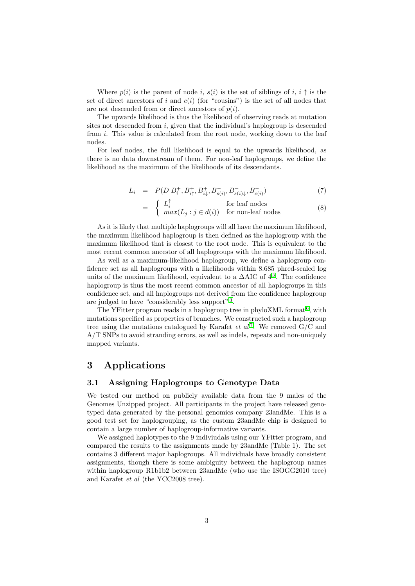Where  $p(i)$  is the parent of node i,  $s(i)$  is the set of siblings of i,  $i \uparrow$  is the set of direct ancestors of i and  $c(i)$  (for "cousins") is the set of all nodes that are not descended from or direct ancestors of  $p(i)$ .

The upwards likelihood is thus the likelihood of observing reads at mutation sites not descended from  $i$ , given that the individual's haplogroup is descended from i. This value is calculated from the root node, working down to the leaf nodes.

For leaf nodes, the full likelihood is equal to the upwards likelihood, as there is no data downstream of them. For non-leaf haplogroups, we define the likelihood as the maximum of the likelihoods of its descendants.

$$
L_i = P(D|B_i^+, B_{i\uparrow}^+, B_{i\downarrow}^+, B_{s(i)}^-, B_{s(i)\downarrow}^-, B_{c(i)}^-)
$$
\n<sup>(7)</sup>

$$
= \begin{cases} L_i^{\uparrow} & \text{for leaf nodes} \\ \max(L_j : j \in d(i)) & \text{for non-leaf nodes} \end{cases}
$$
 (8)

As it is likely that multiple haplogroups will all have the maximum likelihood, the maximum likelihood haplogroup is then defined as the haplogroup with the maximum likelihood that is closest to the root node. This is equivalent to the most recent common ancestor of all haplogroups with the maximum likelihood.

As well as a maximum-likelihood haplogroup, we define a haplogroup confidence set as all haplogroups with a likelihoods within 8.685 phred-scaled log units of the maximum likelihood, equivalent to a  $\Delta AIC$  of  $4^3$  $4^3$ . The confidence haplogroup is thus the most recent common ancestor of all haplogroups in this confidence set, and all haplogroups not derived from the confidence haplogroup are judged to have "considerably less support"<sup>[3](#page-4-3)</sup>.

The YFitter program reads in a haplogroup tree in phyloXML format  $6$ , with mutations specified as properties of branches. We constructed such a haplogroup tree using the mutations catalogued by Karafet *et al*<sup>[7](#page-5-1)</sup>. We removed  $G/C$  and A/T SNPs to avoid stranding errors, as well as indels, repeats and non-uniquely mapped variants.

# 3 Applications

#### 3.1 Assigning Haplogroups to Genotype Data

We tested our method on publicly available data from the 9 males of the Genomes Unzipped project. All participants in the project have released genotyped data generated by the personal genomics company 23andMe. This is a good test set for haplogrouping, as the custom 23andMe chip is designed to contain a large number of haplogroup-informative variants.

We assigned haplotypes to the 9 indiviudals using our YFitter program, and compared the results to the assignments made by 23andMe (Table 1). The set contains 3 different major haplogroups. All individuals have broadly consistent assignments, though there is some ambiguity between the haplogroup names within haplogroup R1b1b2 between 23andMe (who use the ISOGG2010 tree) and Karafet et al (the YCC2008 tree).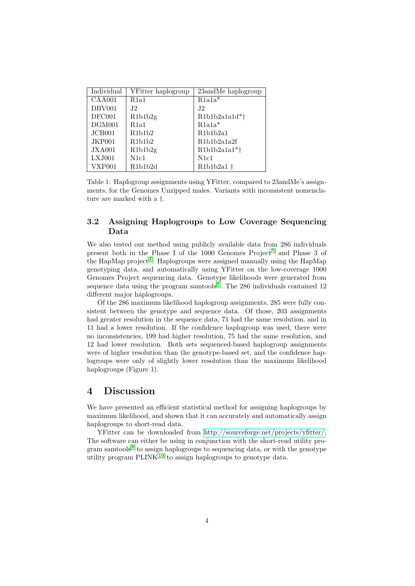| Individual | YFitter haplogroup                             | 23andMe haplogroup      |
|------------|------------------------------------------------|-------------------------|
| CAA001     | R1a1                                           | $R1a1a*$                |
| DBV001     | .I2                                            | J2                      |
| DFC001     | R1b1b2g                                        | R1b1b2a1a1d*†           |
| DGM001     | R1a1                                           | $R1a1a*$                |
| JCB001     | R1b1b2                                         | R1b1b2a1                |
| JKP001     | R1b1b2                                         | R1b1b2a1a2f             |
| JXA001     | R1b1b2g                                        | $R1b1b2a1a1*$           |
| LXJ001     | N <sub>1</sub> c <sub>1</sub>                  | N <sub>1</sub> c1       |
| VXP001     | R <sub>1</sub> b <sub>1</sub> b <sub>2</sub> d | $R1b1b2a1$ <sup>+</sup> |

Table 1: Haplogroup assignments using YFitter, compared to 23andMe's assignments, for the Genomes Unzipped males. Variants with inconsistent nomenclature are marked with a †.

#### 3.2 Assigning Haplogroups to Low Coverage Sequencing Data

We also tested our method using publicly available data from 286 individuals present both in the Phase I of the 1000 Genomes Project<sup>[5](#page-4-0)</sup> and Phase 3 of the HapMap project<sup>[1](#page-4-4)</sup>. Haplogroups were assigned manually using the HapMap genotyping data, and automatically using YFitter on the low-coverage 1000 Genomes Project sequencing data. Genotype likelihoods were generated from sequence data using the program samtools<sup>[8](#page-5-4)</sup>. The 286 individuals contained 12 different major haplogroups.

Of the 286 maximum likelihood haplogroup assignments, 285 were fully consistent between the genotype and sequence data. Of those, 203 assignments had greater resolution in the sequence data, 71 had the same resolution, and in 11 had a lower resolution. If the confidence haplogroup was used, there were no inconsistencies, 199 had higher resolution, 75 had the same resolution, and 12 had lower resolution. Both sets sequenced-based haplogroup assignments were of higher resolution than the genotype-based set, and the confidence haplogroups were only of slightly lower resolution than the maximum likelihood haplogroups (Figure 1).

### 4 Discussion

We have presented an efficient statistical method for assigning haplogroups by maximum likelihood, and shown that it can accurately and automatically assign haplogroups to short-read data.

YFitter can be downloaded from [http://sourceforge.net/projects/yfitter/.](http://sourceforge.net/projects/yfitter/) The software can either be using in conjunction with the short-read utility pro-gram samtools<sup>[8](#page-5-4)</sup> to assign haplogroups to sequencing data, or with the genotype utility program  $\text{PLINK}^{10}$  $\text{PLINK}^{10}$  $\text{PLINK}^{10}$  to assign haplogroups to genotype data.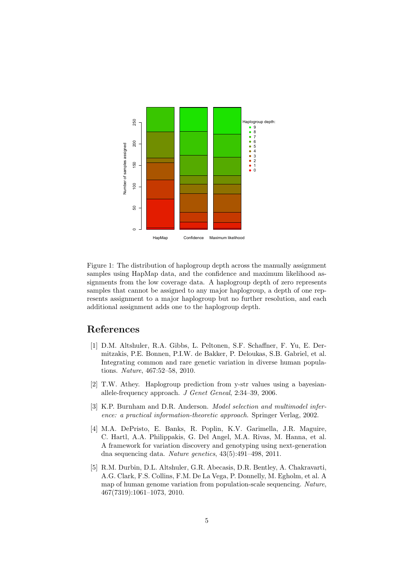

Figure 1: The distribution of haplogroup depth across the manually assignment samples using HapMap data, and the confidence and maximum likelihood assignments from the low coverage data. A haplogroup depth of zero represents samples that cannot be assigned to any major haplogroup, a depth of one represents assignment to a major haplogroup but no further resolution, and each additional assignment adds one to the haplogroup depth.

### References

- <span id="page-4-4"></span>[1] D.M. Altshuler, R.A. Gibbs, L. Peltonen, S.F. Schaffner, F. Yu, E. Dermitzakis, P.E. Bonnen, P.I.W. de Bakker, P. Deloukas, S.B. Gabriel, et al. Integrating common and rare genetic variation in diverse human populations. Nature, 467:52–58, 2010.
- <span id="page-4-1"></span>[2] T.W. Athey. Haplogroup prediction from y-str values using a bayesianallele-frequency approach. J Genet Geneal, 2:34–39, 2006.
- <span id="page-4-3"></span>[3] K.P. Burnham and D.R. Anderson. Model selection and multimodel inference: a practical information-theoretic approach. Springer Verlag, 2002.
- <span id="page-4-2"></span>[4] M.A. DePristo, E. Banks, R. Poplin, K.V. Garimella, J.R. Maguire, C. Hartl, A.A. Philippakis, G. Del Angel, M.A. Rivas, M. Hanna, et al. A framework for variation discovery and genotyping using next-generation dna sequencing data. Nature genetics, 43(5):491–498, 2011.
- <span id="page-4-0"></span>[5] R.M. Durbin, D.L. Altshuler, G.R. Abecasis, D.R. Bentley, A. Chakravarti, A.G. Clark, F.S. Collins, F.M. De La Vega, P. Donnelly, M. Egholm, et al. A map of human genome variation from population-scale sequencing. Nature, 467(7319):1061–1073, 2010.